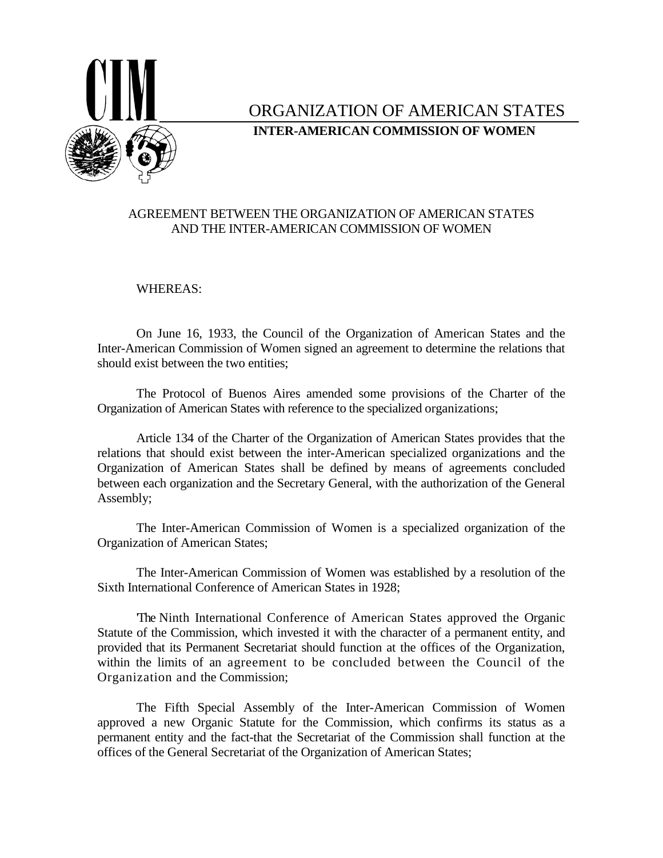

# ORGANIZATION OF AMERICAN STATES **INTER-AMERICAN COMMISSION OF WOMEN**

# AGREEMENT BETWEEN THE ORGANIZATION OF AMERICAN STATES AND THE INTER-AMERICAN COMMISSION OF WOMEN

## WHEREAS:

On June 16, 1933, the Council of the Organization of American States and the Inter-American Commission of Women signed an agreement to determine the relations that should exist between the two entities;

The Protocol of Buenos Aires amended some provisions of the Charter of the Organization of American States with reference to the specialized organizations;

Article 134 of the Charter of the Organization of American States provides that the relations that should exist between the inter-American specialized organizations and the Organization of American States shall be defined by means of agreements concluded between each organization and the Secretary General, with the authorization of the General Assembly;

The Inter-American Commission of Women is a specialized organization of the Organization of American States;

The Inter-American Commission of Women was established by a resolution of the Sixth International Conference of American States in 1928;

'The Ninth International Conference of American States approved the Organic Statute of the Commission, which invested it with the character of a permanent entity, and provided that its Permanent Secretariat should function at the offices of the Organization, within the limits of an agreement to be concluded between the Council of the Organization and the Commission;

The Fifth Special Assembly of the Inter-American Commission of Women approved a new Organic Statute for the Commission, which confirms its status as a permanent entity and the fact-that the Secretariat of the Commission shall function at the offices of the General Secretariat of the Organization of American States;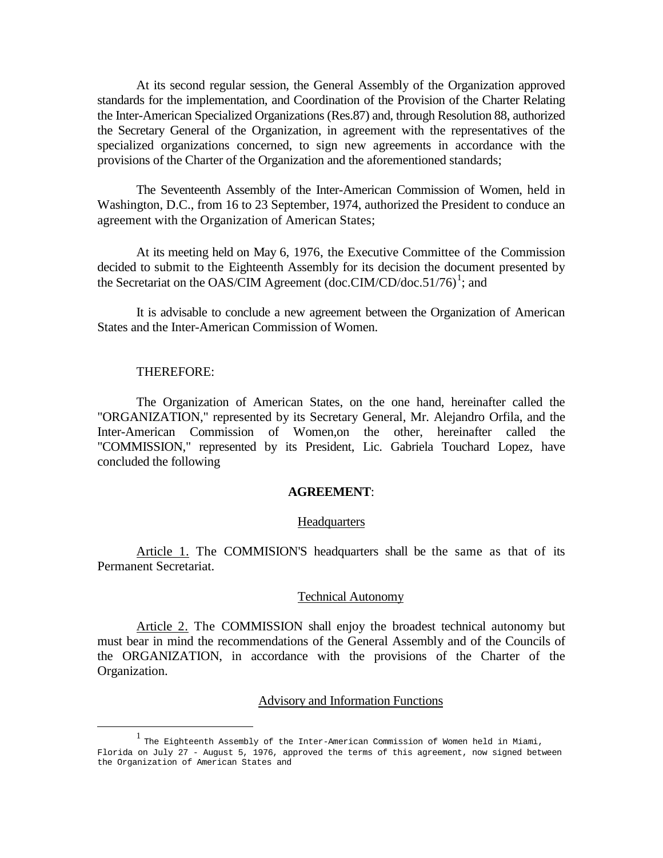At its second regular session, the General Assembly of the Organization approved standards for the implementation, and Coordination of the Provision of the Charter Relating the Inter-American Specialized Organizations (Res.87) and, through Resolution 88, authorized the Secretary General of the Organization, in agreement with the representatives of the specialized organizations concerned, to sign new agreements in accordance with the provisions of the Charter of the Organization and the aforementioned standards;

The Seventeenth Assembly of the Inter-American Commission of Women, held in Washington, D.C., from 16 to 23 September, 1974, authorized the President to conduce an agreement with the Organization of American States;

At its meeting held on May 6, 1976, the Executive Committee of the Commission decided to submit to the Eighteenth Assembly for its decision the document presented by the Secretariat on the OAS/CIM Agreement (doc.CIM/CD/doc.5[1](#page-1-0)/76)<sup>1</sup>; and

It is advisable to conclude a new agreement between the Organization of American States and the Inter-American Commission of Women.

### THEREFORE:

The Organization of American States, on the one hand, hereinafter called the "ORGANIZATION," represented by its Secretary General, Mr. Alejandro Orfila, and the Inter-American Commission of Women,on the other, hereinafter called the "COMMISSION," represented by its President, Lic. Gabriela Touchard Lopez, have concluded the following

### **AGREEMENT**:

#### **Headquarters**

Article 1. The COMMISION'S headquarters shall be the same as that of its Permanent Secretariat.

### Technical Autonomy

Article 2. The COMMISSION shall enjoy the broadest technical autonomy but must bear in mind the recommendations of the General Assembly and of the Councils of the ORGANIZATION, in accordance with the provisions of the Charter of the Organization.

#### Advisory and Information Functions

<sup>&</sup>lt;u>1</u>  $\frac{1}{1}$  The Eighteenth Assembly of the Inter-American Commission of Women held in Miami,

<span id="page-1-0"></span>Florida on July 27 - August 5, 1976, approved the terms of this agreement, now signed between the Organization of American States and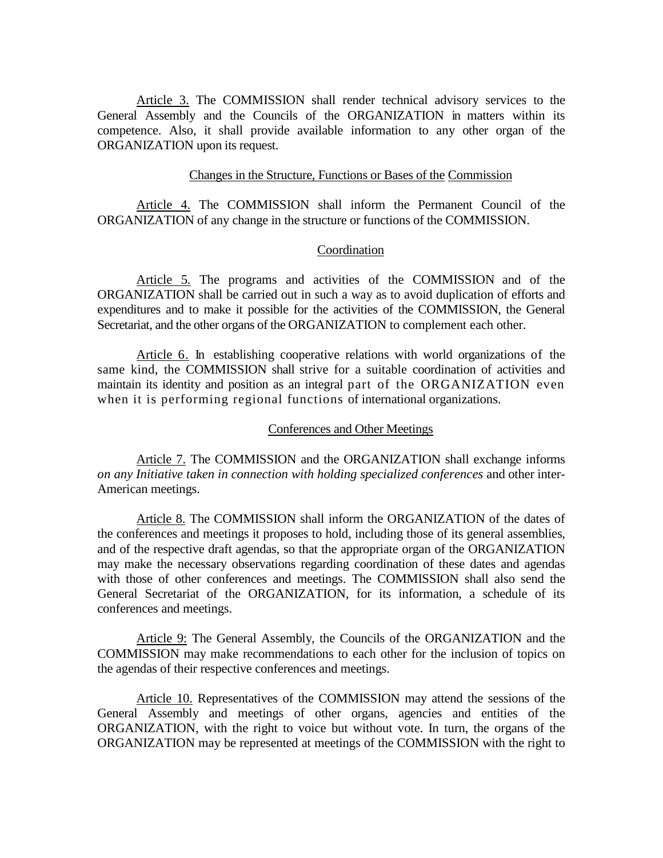Article 3. The COMMISSION shall render technical advisory services to the General Assembly and the Councils of the ORGANIZATION in matters within its competence. Also, it shall provide available information to any other organ of the ORGANIZATION upon its request.

### Changes in the Structure, Functions or Bases of the Commission

Article 4. The COMMISSION shall inform the Permanent Council of the ORGANIZATION of any change in the structure or functions of the COMMISSION.

# Coordination

Article 5. The programs and activities of the COMMISSION and of the ORGANIZATION shall be carried out in such a way as to avoid duplication of efforts and expenditures and to make it possible for the activities of the COMMISSION, the General Secretariat, and the other organs of the ORGANIZATION to complement each other.

Article 6. In establishing cooperative relations with world organizations of the same kind, the COMMISSION shall strive for a suitable coordination of activities and maintain its identity and position as an integral part of the ORGANIZATION even when it is performing regional functions of international organizations.

### Conferences and Other Meetings

Article 7. The COMMISSION and the ORGANIZATION shall exchange informs *on any Initiative taken in connection with holding specialized conferences* and other inter-American meetings.

Article 8. The COMMISSION shall inform the ORGANIZATION of the dates of the conferences and meetings it proposes to hold, including those of its general assemblies, and of the respective draft agendas, so that the appropriate organ of the ORGANIZATION may make the necessary observations regarding coordination of these dates and agendas with those of other conferences and meetings. The COMMISSION shall also send the General Secretariat of the ORGANIZATION, for its information, a schedule of its conferences and meetings.

Article 9: The General Assembly, the Councils of the ORGANIZATION and the COMMISSION may make recommendations to each other for the inclusion of topics on the agendas of their respective conferences and meetings.

Article 10. Representatives of the COMMISSION may attend the sessions of the General Assembly and meetings of other organs, agencies and entities of the ORGANIZATION, with the right to voice but without vote. In turn, the organs of the ORGANIZATION may be represented at meetings of the COMMISSION with the right to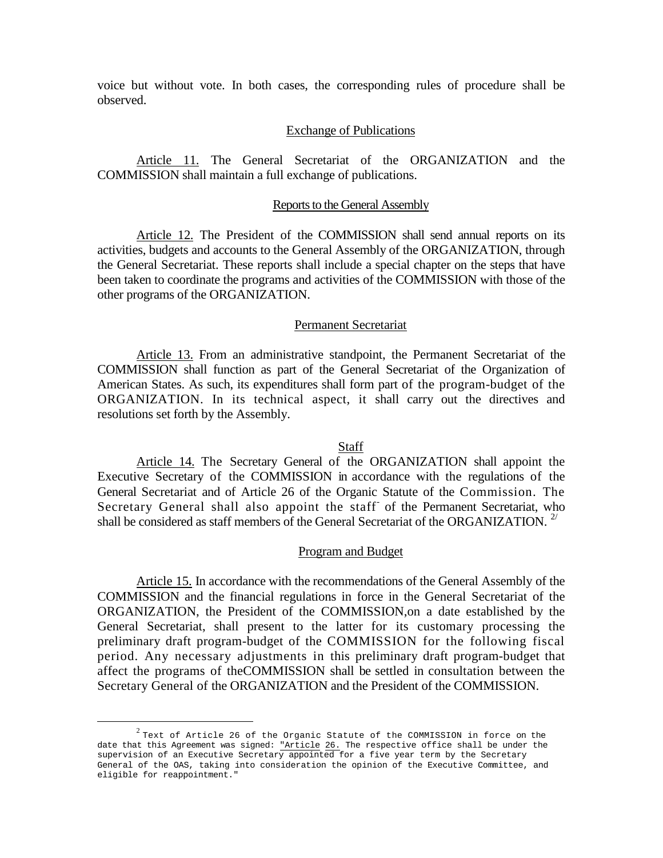voice but without vote. In both cases, the corresponding rules of procedure shall be observed.

### Exchange of Publications

Article 11. The General Secretariat of the ORGANIZATION and the COMMISSION shall maintain a full exchange of publications.

#### Reports to the General Assembly

Article 12. The President of the COMMISSION shall send annual reports on its activities, budgets and accounts to the General Assembly of the ORGANIZATION, through the General Secretariat. These reports shall include a special chapter on the steps that have been taken to coordinate the programs and activities of the COMMISSION with those of the other programs of the ORGANIZATION.

### Permanent Secretariat

Article 13. From an administrative standpoint, the Permanent Secretariat of the COMMISSION shall function as part of the General Secretariat of the Organization of American States. As such, its expenditures shall form part of the program-budget of the ORGANIZATION. In its technical aspect, it shall carry out the directives and resolutions set forth by the Assembly.

### Staff

Article 14. The Secretary General of the ORGANIZATION shall appoint the Executive Secretary of the COMMISSION in accordance with the regulations of the General Secretariat and of Article 26 of the Organic Statute of the Commission. The Secretary General shall also appoint the staff of the Permanent Secretariat, who shall be considered as staff members of the General Secretariat of the ORGANIZATION.<sup>[2/](#page-3-0)</sup>

### Program and Budget

Article 15. In accordance with the recommendations of the General Assembly of the COMMISSION and the financial regulations in force in the General Secretariat of the ORGANIZATION, the President of the COMMISSION,on a date established by the General Secretariat, shall present to the latter for its customary processing the preliminary draft program-budget of the COMMISSION for the following fiscal period. Any necessary adjustments in this preliminary draft program-budget that affect the programs of theCOMMISSION shall be settled in consultation between the Secretary General of the ORGANIZATION and the President of the COMMISSION.

<span id="page-3-0"></span> $2$  Text of Article 26 of the Organic Statute of the COMMISSION in force on the date that this Agreement was signed: "Article 26. The respective office shall be under the supervision of an Executive Secretary appointed for a five year term by the Secretary General of the OAS, taking into consideration the opinion of the Executive Committee, and eligible for reappointment."